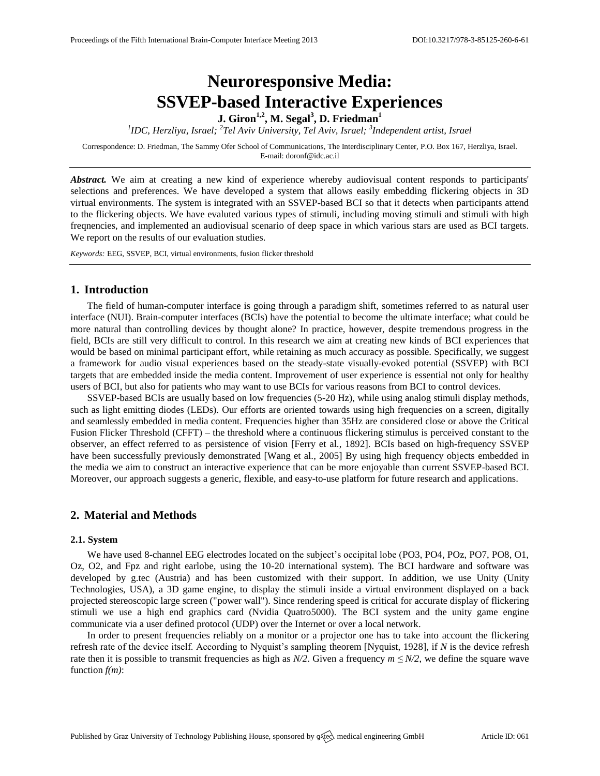# **Neuroresponsive Media: SSVEP-based Interactive Experiences**

**J. Giron1,2 , M. Segal<sup>3</sup> , D. Friedman<sup>1</sup>**

<sup>1</sup>IDC, Herzliya, Israel; <sup>2</sup>Tel Aviv University, Tel Aviv, Israel; <sup>3</sup>Independent artist, Israel

Correspondence: D. Friedman, The Sammy Ofer School of Communications, The Interdisciplinary Center, P.O. Box 167, Herzliya, Israel. E-mail[: doronf@idc.ac.il](mailto:doronf@idc.ac.il)

*Abstract.* We aim at creating a new kind of experience whereby audiovisual content responds to participants' selections and preferences. We have developed a system that allows easily embedding flickering objects in 3D virtual environments. The system is integrated with an SSVEP-based BCI so that it detects when participants attend to the flickering objects. We have evaluted various types of stimuli, including moving stimuli and stimuli with high freqnencies, and implemented an audiovisual scenario of deep space in which various stars are used as BCI targets. We report on the results of our evaluation studies.

*Keywords:* EEG, SSVEP, BCI, virtual environments, fusion flicker threshold

## **1. Introduction**

The field of human-computer interface is going through a paradigm shift, sometimes referred to as natural user interface (NUI). Brain-computer interfaces (BCIs) have the potential to become the ultimate interface; what could be more natural than controlling devices by thought alone? In practice, however, despite tremendous progress in the field, BCIs are still very difficult to control. In this research we aim at creating new kinds of BCI experiences that would be based on minimal participant effort, while retaining as much accuracy as possible. Specifically, we suggest a framework for audio visual experiences based on the steady-state visually-evoked potential (SSVEP) with BCI targets that are embedded inside the media content. Improvement of user experience is essential not only for healthy users of BCI, but also for patients who may want to use BCIs for various reasons from BCI to control devices.

SSVEP-based BCIs are usually based on low frequencies (5-20 Hz), while using analog stimuli display methods, such as light emitting diodes (LEDs). Our efforts are oriented towards using high frequencies on a screen, digitally and seamlessly embedded in media content. Frequencies higher than 35Hz are considered close or above the Critical Fusion Flicker Threshold (CFFT) – the threshold where a continuous flickering stimulus is perceived constant to the observer, an effect referred to as persistence of vision [\[Ferry](#page-1-0) et al., 1892]. BCIs based on high-frequency SSVEP have been successfully previously demonstrated [\[Wang et al.,](#page-1-1) 2005] By using high frequency objects embedded in the media we aim to construct an interactive experience that can be more enjoyable than current SSVEP-based BCI. Moreover, our approach suggests a generic, flexible, and easy-to-use platform for future research and applications.

# **2. Material and Methods**

#### **2.1. System**

We have used 8-channel EEG electrodes located on the subject's occipital lobe (PO3, PO4, POz, PO7, PO8, O1, Oz, O2, and Fpz and right earlobe, using the 10-20 international system). The BCI hardware and software was developed by g.tec (Austria) and has been customized with their support. In addition, we use Unity (Unity Technologies, USA), a 3D game engine, to display the stimuli inside a virtual environment displayed on a back projected stereoscopic large screen ("power wall"). Since rendering speed is critical for accurate display of flickering stimuli we use a high end graphics card (Nvidia Quatro5000). The BCI system and the unity game engine communicate via a user defined protocol (UDP) over the Internet or over a local network.

In order to present frequencies reliably on a monitor or a projector one has to take into account the flickering refresh rate of the device itself. According to Nyquist's sampling theorem [\[Nyquist,](#page-1-2) 1928], if *N* is the device refresh rate then it is possible to transmit frequencies as high as *N/2*. Given a frequency  $m \leq N/2$ , we define the square wave function *f(m)*: